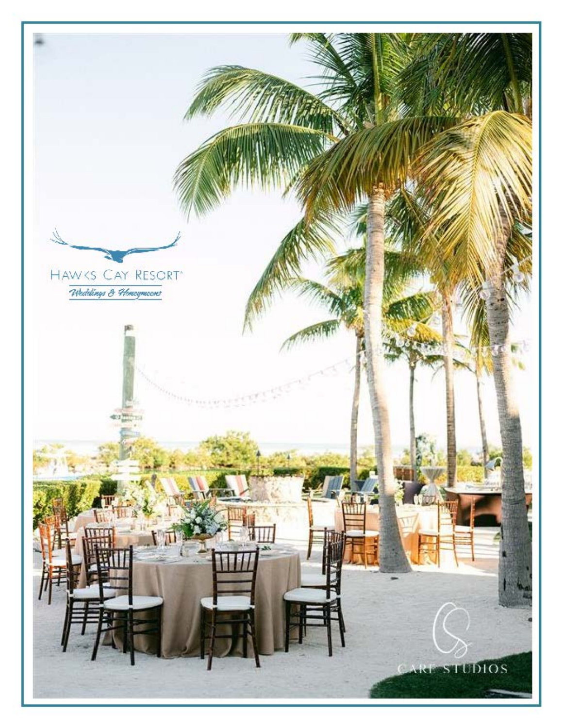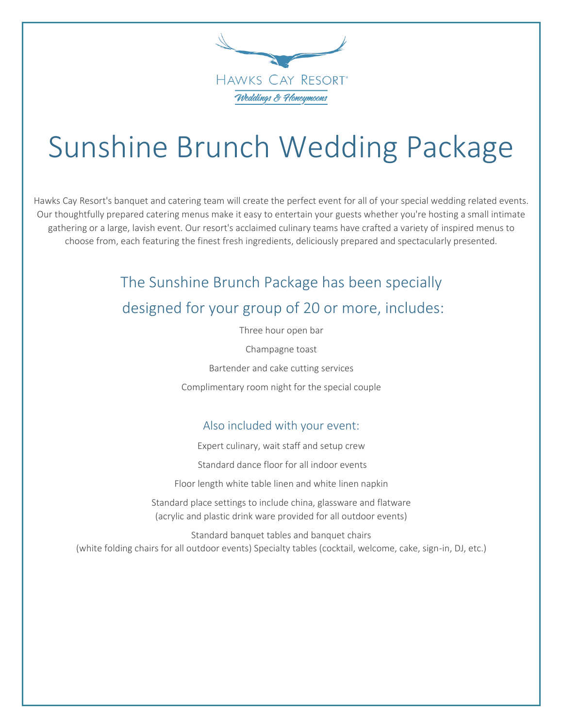

# Sunshine Brunch Wedding Package

 Our thoughtfully prepared catering menus make it easy to entertain your guests whether you're hosting a small intimate choose from, each featuring the finest fresh ingredients, deliciously prepared and spectacularly presented. Hawks Cay Resort's banquet and catering team will create the perfect event for all of your special wedding related events. gathering or a large, lavish event. Our resort's acclaimed culinary teams have crafted a variety of inspired menus to

# The Sunshine Brunch Package has been specially designed for your group of 20 or more, includes:

Three hour open bar

Champagne toast

Bartender and cake cutting services

Complimentary room night for the special couple

#### Also included with your event:

Expert culinary, wait staff and setup crew

Standard dance floor for all indoor events

Floor length white table linen and white linen napkin

 (acrylic and plastic drink ware provided for all outdoor events) Standard place settings to include china, glassware and flatware

Standard banquet tables and banquet chairs (white folding chairs for all outdoor events) Specialty tables (cocktail, welcome, cake, sign-in, DJ, etc.)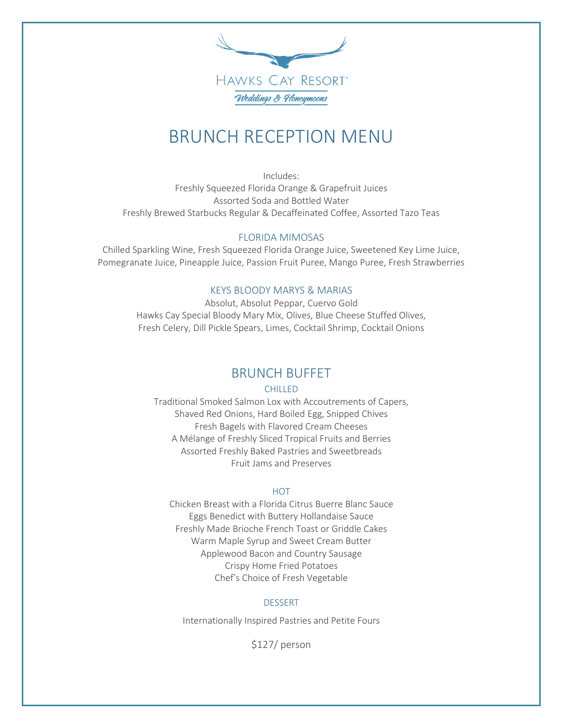

# BRUNCH RECEPTION MENU

Includes: Freshly Squeezed Florida Orange & Grapefruit Juices Assorted Soda and Bottled Water Freshly Brewed Starbucks Regular & Decaffeinated Coffee, Assorted Tazo Teas

#### FLORIDA MIMOSAS

 Chilled Sparkling Wine, Fresh Squeezed Florida Orange Juice, Sweetened Key Lime Juice, Pomegranate Juice, Pineapple Juice, Passion Fruit Puree, Mango Puree, Fresh Strawberries

#### KEYS BLOODY MARYS & MARIAS

 Absolut, Absolut Peppar, Cuervo Gold Hawks Cay Special Bloody Mary Mix, Olives, Blue Cheese Stuffed Olives, Fresh Celery, Dill Pickle Spears, Limes, Cocktail Shrimp, Cocktail Onions

#### BRUNCH BUFFET

#### CHILLED

Traditional Smoked Salmon Lox with Accoutrements of Capers, Shaved Red Onions, Hard Boiled Egg, Snipped Chives Fresh Bagels with Flavored Cream Cheeses A Mélange of Freshly Sliced Tropical Fruits and Berries Assorted Freshly Baked Pastries and Sweetbreads Fruit Jams and Preserves

#### **HOT**

Chicken Breast with a Florida Citrus Buerre Blanc Sauce Eggs Benedict with Buttery Hollandaise Sauce Freshly Made Brioche French Toast or Griddle Cakes Warm Maple Syrup and Sweet Cream Butter Applewood Bacon and Country Sausage Crispy Home Fried Potatoes Chef's Choice of Fresh Vegetable

#### DESSERT

Internationally Inspired Pastries and Petite Fours

\$127/ person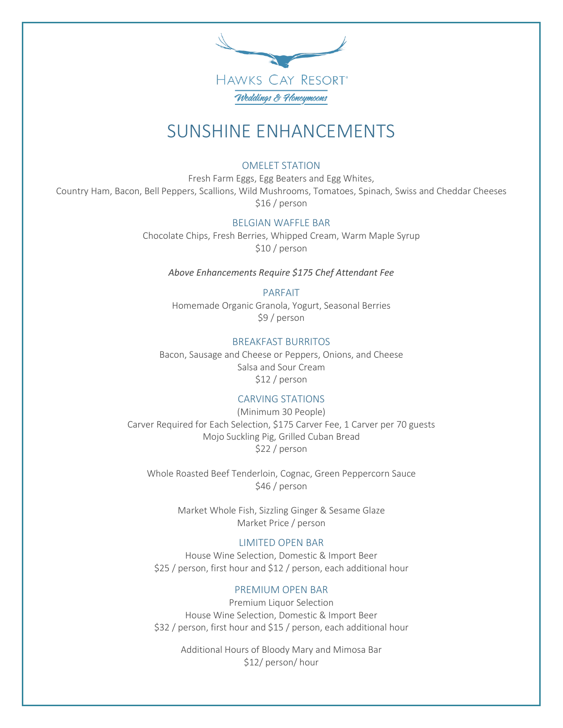

# SUNSHINE ENHANCEMENTS

#### OMELET STATION

 Country Ham, Bacon, Bell Peppers, Scallions, Wild Mushrooms, Tomatoes, Spinach, Swiss and Cheddar Cheeses Fresh Farm Eggs, Egg Beaters and Egg Whites, \$16 / person

#### BELGIAN WAFFLE BAR

Chocolate Chips, Fresh Berries, Whipped Cream, Warm Maple Syrup \$10 / person

*Above Enhancements Require \$175 Chef Attendant Fee* 

#### PARFAIT

Homemade Organic Granola, Yogurt, Seasonal Berries \$9 / person

#### BREAKFAST BURRITOS

Bacon, Sausage and Cheese or Peppers, Onions, and Cheese Salsa and Sour Cream \$12 / person

#### CARVING STATIONS

(Minimum 30 People) Carver Required for Each Selection, \$175 Carver Fee, 1 Carver per 70 guests Mojo Suckling Pig, Grilled Cuban Bread \$22 / person

Whole Roasted Beef Tenderloin, Cognac, Green Peppercorn Sauce \$46 / person

> Market Whole Fish, Sizzling Ginger & Sesame Glaze Market Price / person

#### LIMITED OPEN BAR

House Wine Selection, Domestic & Import Beer \$25 / person, first hour and \$12 / person, each additional hour

#### PREMIUM OPEN BAR

Premium Liquor Selection House Wine Selection, Domestic & Import Beer \$32 / person, first hour and \$15 / person, each additional hour

> Additional Hours of Bloody Mary and Mimosa Bar \$12/ person/ hour